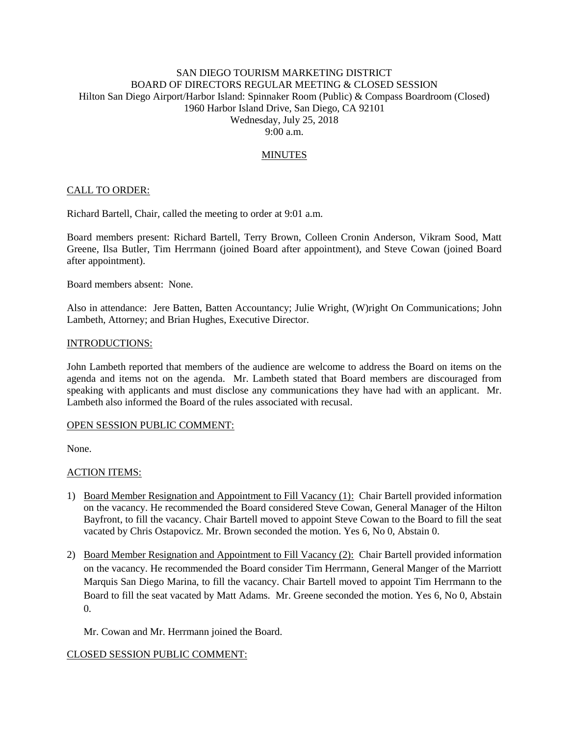# SAN DIEGO TOURISM MARKETING DISTRICT BOARD OF DIRECTORS REGULAR MEETING & CLOSED SESSION Hilton San Diego Airport/Harbor Island: Spinnaker Room (Public) & Compass Boardroom (Closed) 1960 Harbor Island Drive, San Diego, CA 92101 Wednesday, July 25, 2018 9:00 a.m.

# MINUTES

## CALL TO ORDER:

Richard Bartell, Chair, called the meeting to order at 9:01 a.m.

Board members present: Richard Bartell, Terry Brown, Colleen Cronin Anderson, Vikram Sood, Matt Greene, Ilsa Butler, Tim Herrmann (joined Board after appointment), and Steve Cowan (joined Board after appointment).

Board members absent: None.

Also in attendance: Jere Batten, Batten Accountancy; Julie Wright, (W)right On Communications; John Lambeth, Attorney; and Brian Hughes, Executive Director.

### INTRODUCTIONS:

John Lambeth reported that members of the audience are welcome to address the Board on items on the agenda and items not on the agenda. Mr. Lambeth stated that Board members are discouraged from speaking with applicants and must disclose any communications they have had with an applicant. Mr. Lambeth also informed the Board of the rules associated with recusal.

### OPEN SESSION PUBLIC COMMENT:

None.

### ACTION ITEMS:

- 1) Board Member Resignation and Appointment to Fill Vacancy (1): Chair Bartell provided information on the vacancy. He recommended the Board considered Steve Cowan, General Manager of the Hilton Bayfront, to fill the vacancy. Chair Bartell moved to appoint Steve Cowan to the Board to fill the seat vacated by Chris Ostapovicz. Mr. Brown seconded the motion. Yes 6, No 0, Abstain 0.
- 2) Board Member Resignation and Appointment to Fill Vacancy (2): Chair Bartell provided information on the vacancy. He recommended the Board consider Tim Herrmann, General Manger of the Marriott Marquis San Diego Marina, to fill the vacancy. Chair Bartell moved to appoint Tim Herrmann to the Board to fill the seat vacated by Matt Adams. Mr. Greene seconded the motion. Yes 6, No 0, Abstain 0.

Mr. Cowan and Mr. Herrmann joined the Board.

### CLOSED SESSION PUBLIC COMMENT: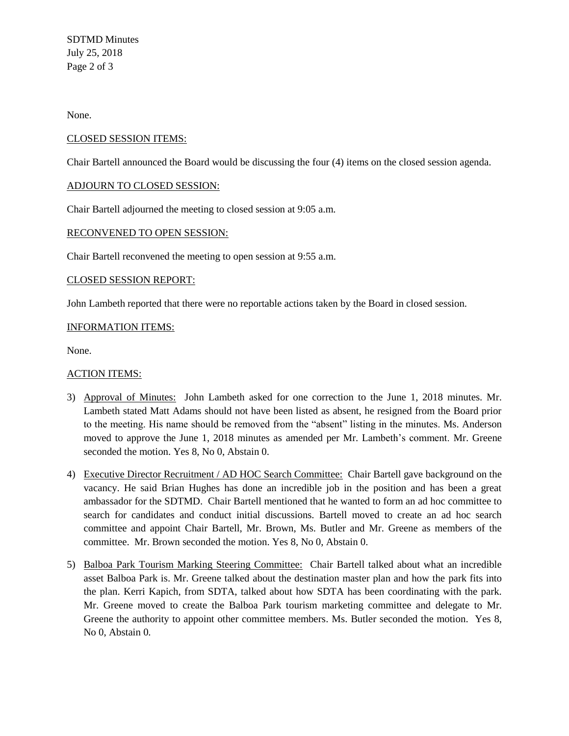SDTMD Minutes July 25, 2018 Page 2 of 3

None.

# CLOSED SESSION ITEMS:

Chair Bartell announced the Board would be discussing the four (4) items on the closed session agenda.

# ADJOURN TO CLOSED SESSION:

Chair Bartell adjourned the meeting to closed session at 9:05 a.m.

## RECONVENED TO OPEN SESSION:

Chair Bartell reconvened the meeting to open session at 9:55 a.m.

## CLOSED SESSION REPORT:

John Lambeth reported that there were no reportable actions taken by the Board in closed session.

# INFORMATION ITEMS:

None.

# ACTION ITEMS:

- 3) Approval of Minutes: John Lambeth asked for one correction to the June 1, 2018 minutes. Mr. Lambeth stated Matt Adams should not have been listed as absent, he resigned from the Board prior to the meeting. His name should be removed from the "absent" listing in the minutes. Ms. Anderson moved to approve the June 1, 2018 minutes as amended per Mr. Lambeth's comment. Mr. Greene seconded the motion. Yes 8, No 0, Abstain 0.
- 4) Executive Director Recruitment / AD HOC Search Committee: Chair Bartell gave background on the vacancy. He said Brian Hughes has done an incredible job in the position and has been a great ambassador for the SDTMD. Chair Bartell mentioned that he wanted to form an ad hoc committee to search for candidates and conduct initial discussions. Bartell moved to create an ad hoc search committee and appoint Chair Bartell, Mr. Brown, Ms. Butler and Mr. Greene as members of the committee. Mr. Brown seconded the motion. Yes 8, No 0, Abstain 0.
- 5) Balboa Park Tourism Marking Steering Committee: Chair Bartell talked about what an incredible asset Balboa Park is. Mr. Greene talked about the destination master plan and how the park fits into the plan. Kerri Kapich, from SDTA, talked about how SDTA has been coordinating with the park. Mr. Greene moved to create the Balboa Park tourism marketing committee and delegate to Mr. Greene the authority to appoint other committee members. Ms. Butler seconded the motion. Yes 8, No 0, Abstain 0.